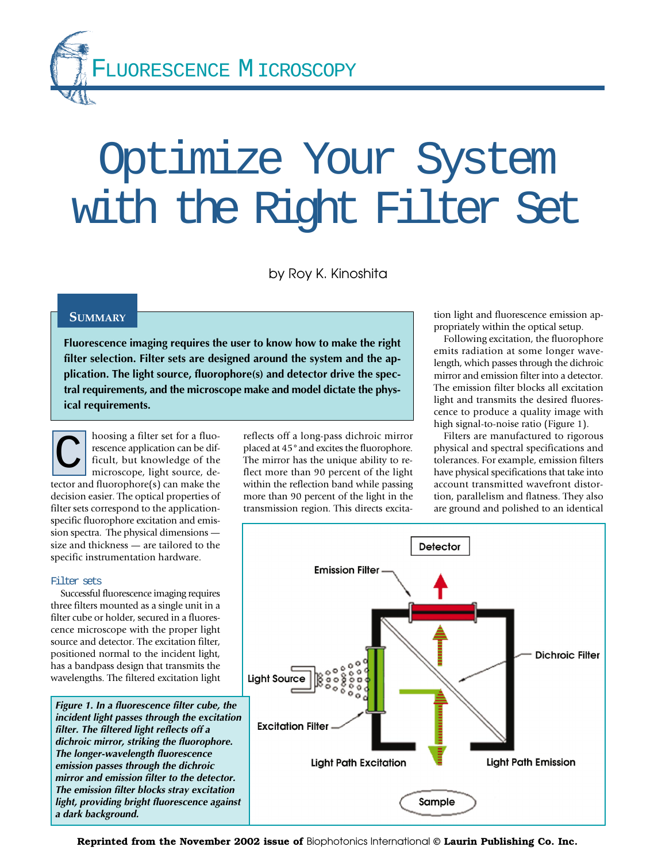LUORESCENCE MICROSCOPY

# Optimize Your System with the Right Filter Set

by Roy K. Kinoshita

## **SUMMARY**

**Fluorescence imaging requires the user to know how to make the right filter selection. Filter sets are designed around the system and the application. The light source, fluorophore(s) and detector drive the spectral requirements, and the microscope make and model dictate the physical requirements.**

hoosing a filter set for a fluorescence application can be difficult, but knowledge of the microscope, light source, detector and fluorophore(s) can make the decision easier. The optical properties of filter sets correspond to the applicationspecific fluorophore excitation and emission spectra. The physical dimensions size and thickness — are tailored to the specific instrumentation hardware. C

#### Filter sets

Successful fluorescence imaging requires three filters mounted as a single unit in a filter cube or holder, secured in a fluorescence microscope with the proper light source and detector. The excitation filter, positioned normal to the incident light, has a bandpass design that transmits the wavelengths. The filtered excitation light

**Figure 1. In a fluorescence filter cube, the incident light passes through the excitation filter. The filtered light reflects off a dichroic mirror, striking the fluorophore. The longer-wavelength fluorescence emission passes through the dichroic mirror and emission filter to the detector. The emission filter blocks stray excitation light, providing bright fluorescence against a dark background.**

reflects off a long-pass dichroic mirror placed at 45°and excites the fluorophore. The mirror has the unique ability to reflect more than 90 percent of the light within the reflection band while passing more than 90 percent of the light in the transmission region. This directs excitation light and fluorescence emission appropriately within the optical setup.

Following excitation, the fluorophore emits radiation at some longer wavelength, which passes through the dichroic mirror and emission filter into a detector. The emission filter blocks all excitation light and transmits the desired fluorescence to produce a quality image with high signal-to-noise ratio (Figure 1).

Filters are manufactured to rigorous physical and spectral specifications and tolerances. For example, emission filters have physical specifications that take into account transmitted wavefront distortion, parallelism and flatness. They also are ground and polished to an identical



**Reprinted from the November 2002 issue of** Biophotonics International **© Laurin Publishing Co. Inc.**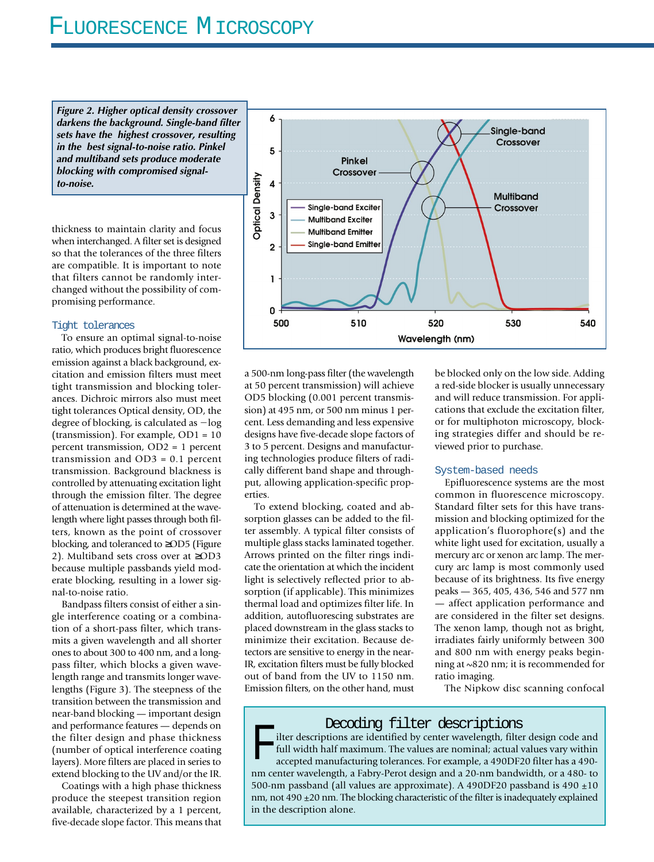# FLUORESCENCE MICROSCOPY

**Figure 2. Higher optical density crossover darkens the background. Single-band filter sets have the highest crossover, resulting in the best signal-to-noise ratio. Pinkel and multiband sets produce moderate blocking with compromised signalto-noise.**

thickness to maintain clarity and focus when interchanged. A filter set is designed so that the tolerances of the three filters are compatible. It is important to note that filters cannot be randomly interchanged without the possibility of compromising performance.

#### Tight tolerances

To ensure an optimal signal-to-noise ratio, which produces bright fluorescence emission against a black background, excitation and emission filters must meet tight transmission and blocking tolerances. Dichroic mirrors also must meet tight tolerances Optical density, OD, the degree of blocking, is calculated as  $-\log$ (transmission). For example, OD1 = 10 percent transmission, OD2 = 1 percent transmission and OD3 = 0.1 percent transmission. Background blackness is controlled by attenuating excitation light through the emission filter. The degree of attenuation is determined at the wavelength where light passes through both filters, known as the point of crossover blocking, and toleranced to ≥OD5 (Figure 2). Multiband sets cross over at ≥OD3 because multiple passbands yield moderate blocking, resulting in a lower signal-to-noise ratio.

Bandpass filters consist of either a single interference coating or a combination of a short-pass filter, which transmits a given wavelength and all shorter ones to about 300 to 400 nm, and a longpass filter, which blocks a given wavelength range and transmits longer wavelengths (Figure 3). The steepness of the transition between the transmission and near-band blocking — important design and performance features — depends on the filter design and phase thickness (number of optical interference coating layers). More filters are placed in series to extend blocking to the UV and/or the IR.

Coatings with a high phase thickness produce the steepest transition region available, characterized by a 1 percent, five-decade slope factor. This means that



a 500-nm long-pass filter (the wavelength at 50 percent transmission) will achieve OD5 blocking (0.001 percent transmission) at 495 nm, or 500 nm minus 1 percent. Less demanding and less expensive designs have five-decade slope factors of 3 to 5 percent. Designs and manufacturing technologies produce filters of radically different band shape and throughput, allowing application-specific properties.

To extend blocking, coated and absorption glasses can be added to the filter assembly. A typical filter consists of multiple glass stacks laminated together. Arrows printed on the filter rings indicate the orientation at which the incident light is selectively reflected prior to absorption (if applicable). This minimizes thermal load and optimizes filter life. In addition, autofluorescing substrates are placed downstream in the glass stacks to minimize their excitation. Because detectors are sensitive to energy in the near-IR, excitation filters must be fully blocked out of band from the UV to 1150 nm. Emission filters, on the other hand, must

be blocked only on the low side. Adding a red-side blocker is usually unnecessary and will reduce transmission. For applications that exclude the excitation filter, or for multiphoton microscopy, blocking strategies differ and should be reviewed prior to purchase.

#### System-based needs

Epifluorescence systems are the most common in fluorescence microscopy. Standard filter sets for this have transmission and blocking optimized for the application's fluorophore(s) and the white light used for excitation, usually a mercury arc or xenon arc lamp. The mercury arc lamp is most commonly used because of its brightness. Its five energy peaks — 365, 405, 436, 546 and 577 nm — affect application performance and are considered in the filter set designs. The xenon lamp, though not as bright, irradiates fairly uniformly between 300 and 800 nm with energy peaks beginning at ~820 nm; it is recommended for ratio imaging.

The Nipkow disc scanning confocal

### Decoding filter descriptions

lilter descriptions are identified by center wavelength, filter design code and full width half maximum. The values are nominal; actual values vary within accepted manufacturing tolerances. For example, a 490DF20 filter has a 490 nm center wavelength, a Fabry-Perot design and a 20-nm bandwidth, or a 480- to 500-nm passband (all values are approximate). A 490DF20 passband is 490 ±10 nm, not 490 ±20 nm. The blocking characteristic of the filter is inadequately explained in the description alone.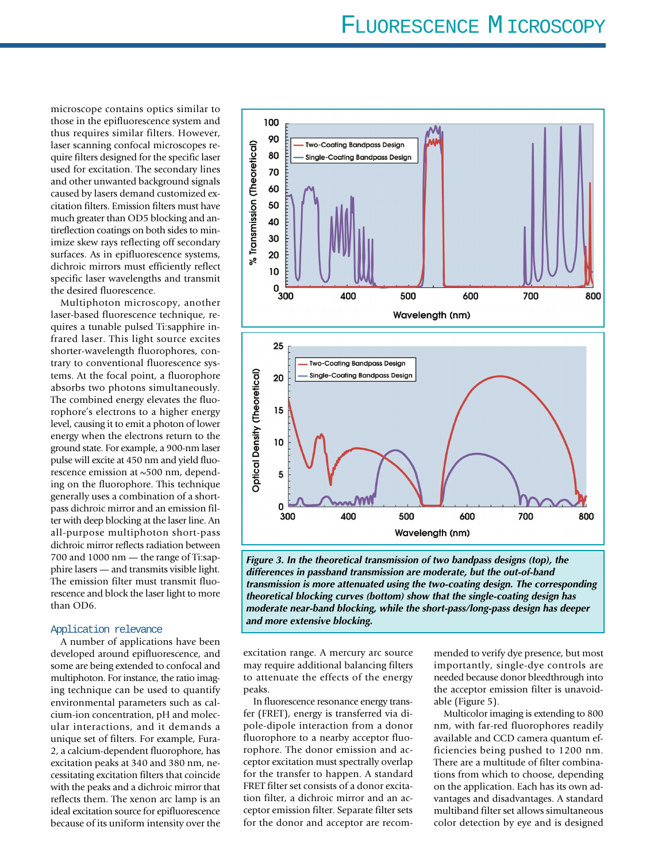microscope contains optics similar to those in the epifluorescence system and thus requires similar filters. However, laser scanning confocal microscopes require filters designed for the specific laser used for excitation. The secondary lines and other unwanted background signals caused by lasers demand customized excitation filters. Emission filters must have much greater than OD5 blocking and antireflection coatings on both sides to minimize skew rays reflecting off secondary surfaces. As in epifluorescence systems, dichroic mirrors must efficiently reflect specific laser wavelengths and transmit the desired fluorescence.

Multiphoton microscopy, another laser-based fluorescence technique, requires a tunable pulsed Ti:sapphire infrared laser. This light source excites shorter-wavelength fluorophores, contrary to conventional fluorescence systems. At the focal point, a fluorophore absorbs two photons simultaneously. The combined energy elevates the fluorophore's electrons to a higher energy level, causing it to emit a photon of lower energy when the electrons return to the ground state. For example, a 900-nm laser pulse will excite at 450 nm and yield fluorescence emission at ~500 nm, depending on the fluorophore. This technique generally uses a combination of a shortpass dichroic mirror and an emission filter with deep blocking at the laser line. An all-purpose multiphoton short-pass dichroic mirror reflects radiation between 700 and 1000 nm — the range of Ti:sapphire lasers — and transmits visible light. The emission filter must transmit fluorescence and block the laser light to more than OD6.

#### Application relevance

A number of applications have been developed around epifluorescence, and some are being extended to confocal and multiphoton. For instance, the ratio imaging technique can be used to quantify environmental parameters such as calcium-ion concentration, pH and molecular interactions, and it demands a unique set of filters. For example, Fura-2, a calcium-dependent fluorophore, has excitation peaks at 340 and 380 nm, necessitating excitation filters that coincide with the peaks and a dichroic mirror that reflects them. The xenon arc lamp is an ideal excitation source for epifluorescence because of its uniform intensity over the



**Figure 3. In the theoretical transmission of two bandpass designs (top), the differences in passband transmission are moderate, but the out-of-band transmission is more attenuated using the two-coating design. The corresponding theoretical blocking curves (bottom) show that the single-coating design has moderate near-band blocking, while the short-pass/long-pass design has deeper and more extensive blocking.**

excitation range. A mercury arc source may require additional balancing filters to attenuate the effects of the energy peaks.

In fluorescence resonance energy transfer (FRET), energy is transferred via dipole-dipole interaction from a donor fluorophore to a nearby acceptor fluorophore. The donor emission and acceptor excitation must spectrally overlap for the transfer to happen. A standard FRET filter set consists of a donor excitation filter, a dichroic mirror and an acceptor emission filter. Separate filter sets for the donor and acceptor are recommended to verify dye presence, but most importantly, single-dye controls are needed because donor bleedthrough into the acceptor emission filter is unavoidable (Figure 5).

Multicolor imaging is extending to 800 nm, with far-red fluorophores readily available and CCD camera quantum efficiencies being pushed to 1200 nm. There are a multitude of filter combinations from which to choose, depending on the application. Each has its own advantages and disadvantages. A standard multiband filter set allows simultaneous color detection by eye and is designed